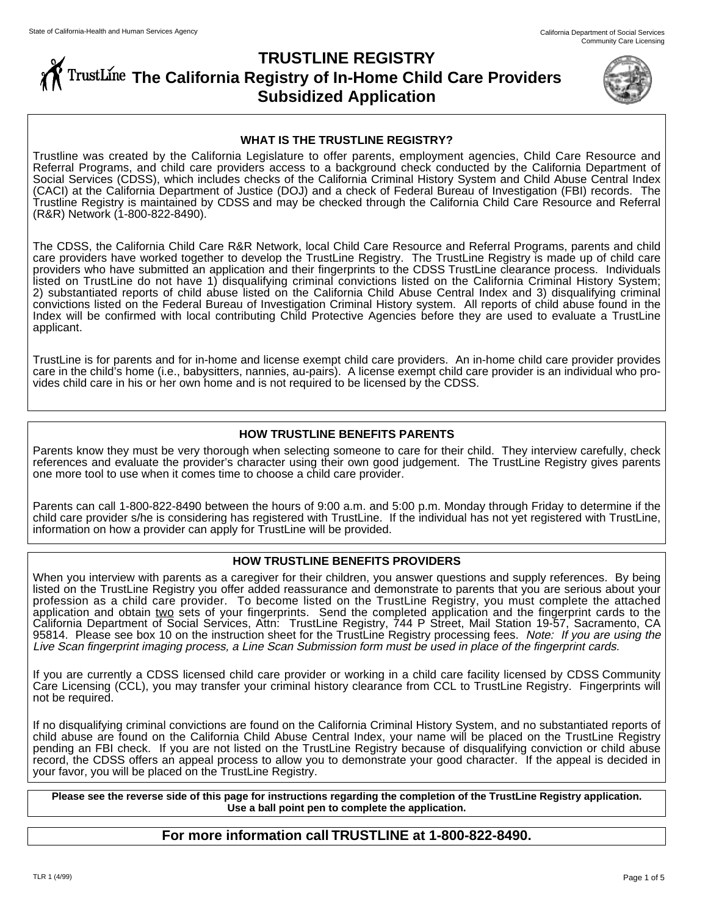# **TRUSTLINE REGISTRY THE THE CALIFORM REGISTY OF In-Home Child Care Providers Subsidized Application**



#### **WHAT IS THE TRUSTLINE REGISTRY?**

Trustline was created by the California Legislature to offer parents, employment agencies, Child Care Resource and Referral Programs, and child care providers access to a background check conducted by the California Department of Social Services (CDSS), which includes checks of the California Criminal History System and Child Abuse Central Index (CACI) at the California Department of Justice (DOJ) and a check of Federal Bureau of Investigation (FBI) records. The Trustline Registry is maintained by CDSS and may be checked through the California Child Care Resource and Referral (R&R) Network (1-800-822-8490).

The CDSS, the California Child Care R&R Network, local Child Care Resource and Referral Programs, parents and child care providers have worked together to develop the TrustLine Registry. The TrustLine Registry is made up of child care providers who have submitted an application and their fingerprints to the CDSS TrustLine clearance process. Individuals listed on TrustLine do not have 1) disqualifying criminal convictions listed on the California Criminal History System; 2) substantiated reports of child abuse listed on the California Child Abuse Central Index and 3) disqualifying criminal convictions listed on the Federal Bureau of Investigation Criminal History system. All reports of child abuse found in the Index will be confirmed with local contributing Child Protective Agencies before they are used to evaluate a TrustLine applicant.

TrustLine is for parents and for in-home and license exempt child care providers. An in-home child care provider provides care in the child's home (i.e., babysitters, nannies, au-pairs). A license exempt child care provider is an individual who provides child care in his or her own home and is not required to be licensed by the CDSS.

#### **HOW TRUSTLINE BENEFITS PARENTS**

Parents know they must be very thorough when selecting someone to care for their child. They interview carefully, check references and evaluate the provider's character using their own good judgement. The TrustLine Registry gives parents one more tool to use when it comes time to choose a child care provider.

Parents can call 1-800-822-8490 between the hours of 9:00 a.m. and 5:00 p.m. Monday through Friday to determine if the child care provider s/he is considering has registered with TrustLine. If the individual has not yet registered with TrustLine, information on how a provider can apply for TrustLine will be provided.

#### **HOW TRUSTLINE BENEFITS PROVIDERS**

When you interview with parents as a caregiver for their children, you answer questions and supply references. By being listed on the TrustLine Registry you offer added reassurance and demonstrate to parents that you are serious about your profession as a child care provider. To become listed on the TrustLine Registry, you must complete the attached application and obtain two sets of your fingerprints. Send the completed application and the fingerprint cards to the California Department of Social Services, Attn: TrustLine Registry, 744 P Street, Mail Station 19-57, Sacramento, CA 95814. Please see box 10 on the instruction sheet for the TrustLine Registry processing fees. Note: If you are using the Live Scan fingerprint imaging process, a Line Scan Submission form must be used in place of the fingerprint cards.

If you are currently a CDSS licensed child care provider or working in a child care facility licensed by CDSS Community Care Licensing (CCL), you may transfer your criminal history clearance from CCL to TrustLine Registry. Fingerprints will not be required.

If no disqualifying criminal convictions are found on the California Criminal History System, and no substantiated reports of child abuse are found on the California Child Abuse Central Index, your name will be placed on the TrustLine Registry pending an FBI check. If you are not listed on the TrustLine Registry because of disqualifying conviction or child abuse record, the CDSS offers an appeal process to allow you to demonstrate your good character. If the appeal is decided in your favor, you will be placed on the TrustLine Registry.

**Please see the reverse side of this page for instructions regarding the completion of the TrustLine Registry application. Use a ball point pen to complete the application.**

### **For more information call TRUSTLINE at 1-800-822-8490.**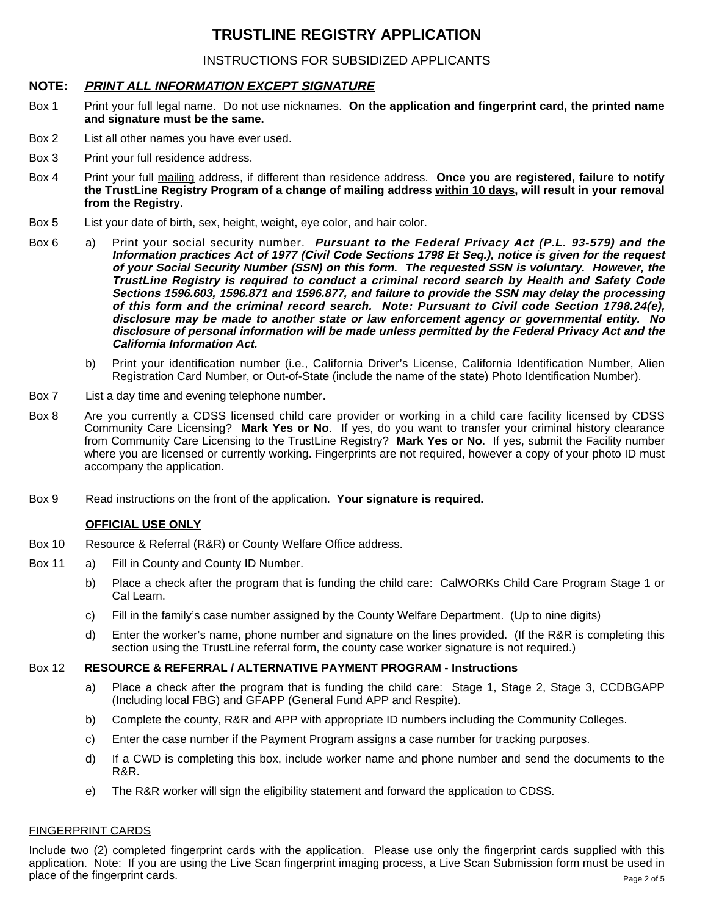## **TRUSTLINE REGISTRY APPLICATION**

## INSTRUCTIONS FOR SUBSIDIZED APPLICANTS

## **NOTE: PRINT ALL INFORMATION EXCEPT SIGNATURE**

- Box 1 Print your full legal name. Do not use nicknames. **On the application and fingerprint card, the printed name and signature must be the same.**
- Box 2 List all other names you have ever used.
- Box 3 Print your full residence address.
- Box 4 Print your full mailing address, if different than residence address. **Once you are registered, failure to notify the TrustLine Registry Program of a change of mailing address within 10 days, will result in your removal from the Registry.**
- Box 5 List your date of birth, sex, height, weight, eye color, and hair color.
- Box 6 a) Print your social security number. **Pursuant to the Federal Privacy Act (P.L. 93-579) and the Information practices Act of 1977 (Civil Code Sections 1798 Et Seq.), notice is given for the request of your Social Security Number (SSN) on this form. The requested SSN is voluntary. However, the TrustLine Registry is required to conduct a criminal record search by Health and Safety Code Sections 1596.603, 1596.871 and 1596.877, and failure to provide the SSN may delay the processing of this form and the criminal record search. Note: Pursuant to Civil code Section 1798.24(e), disclosure may be made to another state or law enforcement agency or governmental entity. No disclosure of personal information will be made unless permitted by the Federal Privacy Act and the California Information Act.**
	- b) Print your identification number (i.e., California Driver's License, California Identification Number, Alien Registration Card Number, or Out-of-State (include the name of the state) Photo Identification Number).
- Box 7 List a day time and evening telephone number.
- Box 8 Are you currently a CDSS licensed child care provider or working in a child care facility licensed by CDSS Community Care Licensing? **Mark Yes or No**. If yes, do you want to transfer your criminal history clearance from Community Care Licensing to the TrustLine Registry? **Mark Yes or No**. If yes, submit the Facility number where you are licensed or currently working. Fingerprints are not required, however a copy of your photo ID must accompany the application.
- Box 9 Read instructions on the front of the application. **Your signature is required.**

#### **OFFICIAL USE ONLY**

- Box 10 Resource & Referral (R&R) or County Welfare Office address.
- Box 11 a) Fill in County and County ID Number.
	- b) Place a check after the program that is funding the child care: CalWORKs Child Care Program Stage 1 or Cal Learn.
	- c) Fill in the family's case number assigned by the County Welfare Department. (Up to nine digits)
	- d) Enter the worker's name, phone number and signature on the lines provided. (If the R&R is completing this section using the TrustLine referral form, the county case worker signature is not required.)

#### Box 12 **RESOURCE & REFERRAL / ALTERNATIVE PAYMENT PROGRAM - Instructions**

- a) Place a check after the program that is funding the child care: Stage 1, Stage 2, Stage 3, CCDBGAPP (Including local FBG) and GFAPP (General Fund APP and Respite).
- b) Complete the county, R&R and APP with appropriate ID numbers including the Community Colleges.
- c) Enter the case number if the Payment Program assigns a case number for tracking purposes.
- d) If a CWD is completing this box, include worker name and phone number and send the documents to the R&R.
- e) The R&R worker will sign the eligibility statement and forward the application to CDSS.

#### FINGERPRINT CARDS

Include two (2) completed fingerprint cards with the application. Please use only the fingerprint cards supplied with this application. Note: If you are using the Live Scan fingerprint imaging process, a Live Scan Submission form must be used in place of the fingerprint cards. Page 2 of 5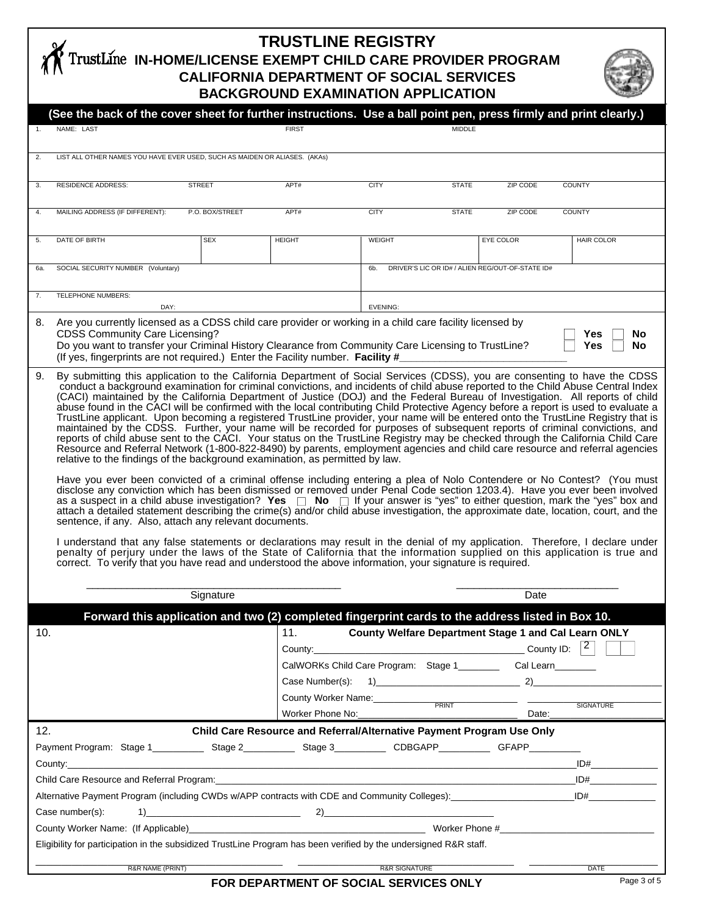## **TRUSTLINE REGISTRY IN-HOME/LICENSE EXEMPT CHILD CARE PROVIDER PROGRAM CALIFORNIA DEPARTMENT OF SOCIAL SERVICES BACKGROUND EXAMINATION APPLICATION**



|                                                                                                                                                                                                                                | (See the back of the cover sheet for further instructions. Use a ball point pen, press firmly and print clearly.)                                                                                                                                                                                                                                                                                                                                                                                                                                                                                                                                                                                                                                                                                                                                                                                                                                                                                                                                                                                                                                                                                                                                                                                                                                                                                                                                                                                                                                                                                                                                                                                                                                                 |                                                                                               |                                                                                                   |                                                                                            |               |           |                                                                                   |  |  |
|--------------------------------------------------------------------------------------------------------------------------------------------------------------------------------------------------------------------------------|-------------------------------------------------------------------------------------------------------------------------------------------------------------------------------------------------------------------------------------------------------------------------------------------------------------------------------------------------------------------------------------------------------------------------------------------------------------------------------------------------------------------------------------------------------------------------------------------------------------------------------------------------------------------------------------------------------------------------------------------------------------------------------------------------------------------------------------------------------------------------------------------------------------------------------------------------------------------------------------------------------------------------------------------------------------------------------------------------------------------------------------------------------------------------------------------------------------------------------------------------------------------------------------------------------------------------------------------------------------------------------------------------------------------------------------------------------------------------------------------------------------------------------------------------------------------------------------------------------------------------------------------------------------------------------------------------------------------------------------------------------------------|-----------------------------------------------------------------------------------------------|---------------------------------------------------------------------------------------------------|--------------------------------------------------------------------------------------------|---------------|-----------|-----------------------------------------------------------------------------------|--|--|
| $\mathbf{1}$ .                                                                                                                                                                                                                 | NAME: LAST                                                                                                                                                                                                                                                                                                                                                                                                                                                                                                                                                                                                                                                                                                                                                                                                                                                                                                                                                                                                                                                                                                                                                                                                                                                                                                                                                                                                                                                                                                                                                                                                                                                                                                                                                        |                                                                                               | <b>FIRST</b>                                                                                      |                                                                                            | <b>MIDDLE</b> |           |                                                                                   |  |  |
| 2.                                                                                                                                                                                                                             | LIST ALL OTHER NAMES YOU HAVE EVER USED, SUCH AS MAIDEN OR ALIASES. (AKAs)                                                                                                                                                                                                                                                                                                                                                                                                                                                                                                                                                                                                                                                                                                                                                                                                                                                                                                                                                                                                                                                                                                                                                                                                                                                                                                                                                                                                                                                                                                                                                                                                                                                                                        |                                                                                               |                                                                                                   |                                                                                            |               |           |                                                                                   |  |  |
| 3.                                                                                                                                                                                                                             | <b>RESIDENCE ADDRESS:</b>                                                                                                                                                                                                                                                                                                                                                                                                                                                                                                                                                                                                                                                                                                                                                                                                                                                                                                                                                                                                                                                                                                                                                                                                                                                                                                                                                                                                                                                                                                                                                                                                                                                                                                                                         | <b>STREET</b>                                                                                 | APT#                                                                                              | <b>CITY</b>                                                                                | <b>STATE</b>  | ZIP CODE  | <b>COUNTY</b>                                                                     |  |  |
| 4.                                                                                                                                                                                                                             | MAILING ADDRESS (IF DIFFERENT):                                                                                                                                                                                                                                                                                                                                                                                                                                                                                                                                                                                                                                                                                                                                                                                                                                                                                                                                                                                                                                                                                                                                                                                                                                                                                                                                                                                                                                                                                                                                                                                                                                                                                                                                   | P.O. BOX/STREET                                                                               | APT#                                                                                              | <b>CITY</b>                                                                                | <b>STATE</b>  | ZIP CODE  | <b>COUNTY</b>                                                                     |  |  |
| 5.                                                                                                                                                                                                                             | DATE OF BIRTH                                                                                                                                                                                                                                                                                                                                                                                                                                                                                                                                                                                                                                                                                                                                                                                                                                                                                                                                                                                                                                                                                                                                                                                                                                                                                                                                                                                                                                                                                                                                                                                                                                                                                                                                                     | <b>SEX</b>                                                                                    | <b>HEIGHT</b>                                                                                     | WEIGHT                                                                                     |               | EYE COLOR | <b>HAIR COLOR</b>                                                                 |  |  |
| 6а.                                                                                                                                                                                                                            |                                                                                                                                                                                                                                                                                                                                                                                                                                                                                                                                                                                                                                                                                                                                                                                                                                                                                                                                                                                                                                                                                                                                                                                                                                                                                                                                                                                                                                                                                                                                                                                                                                                                                                                                                                   | DRIVER'S LIC OR ID# / ALIEN REG/OUT-OF-STATE ID#<br>SOCIAL SECURITY NUMBER (Voluntary)<br>6b. |                                                                                                   |                                                                                            |               |           |                                                                                   |  |  |
| 7.                                                                                                                                                                                                                             | TELEPHONE NUMBERS:<br>DAY:                                                                                                                                                                                                                                                                                                                                                                                                                                                                                                                                                                                                                                                                                                                                                                                                                                                                                                                                                                                                                                                                                                                                                                                                                                                                                                                                                                                                                                                                                                                                                                                                                                                                                                                                        |                                                                                               |                                                                                                   | EVENING:                                                                                   |               |           |                                                                                   |  |  |
| 8.                                                                                                                                                                                                                             | Are you currently licensed as a CDSS child care provider or working in a child care facility licensed by<br><b>CDSS Community Care Licensing?</b><br>Yes<br>No<br>Do you want to transfer your Criminal History Clearance from Community Care Licensing to TrustLine?<br><b>No</b><br>Yes<br>(If yes, fingerprints are not required.) Enter the Facility number. Facility #                                                                                                                                                                                                                                                                                                                                                                                                                                                                                                                                                                                                                                                                                                                                                                                                                                                                                                                                                                                                                                                                                                                                                                                                                                                                                                                                                                                       |                                                                                               |                                                                                                   |                                                                                            |               |           |                                                                                   |  |  |
| 9.                                                                                                                                                                                                                             | By submitting this application to the California Department of Social Services (CDSS), you are consenting to have the CDSS<br>conduct a background examination for criminal convictions, and incidents of child abuse reported to the Child Abuse Central Index<br>(CACI) maintained by the California Department of Justice (DOJ) and the Federal Bureau of Investigation. All reports of child<br>abuse found in the CACI will be confirmed with the local contributing Child Protective Agency before a report is used to evaluate a<br>TrustLine applicant. Upon becoming a registered TrustLine provider, your name will be entered onto the TrustLine Registry that is<br>maintained by the CDSS. Further, your name will be recorded for purposes of subsequent reports of criminal convictions, and<br>reports of child abuse sent to the CACI. Your status on the TrustLine Registry may be checked through the California Child Care<br>Resource and Referral Network (1-800-822-8490) by parents, employment agencies and child care resource and referral agencies<br>relative to the findings of the background examination, as permitted by law.<br>Have you ever been convicted of a criminal offense including entering a plea of Nolo Contendere or No Contest? (You must<br>disclose any conviction which has been dismissed or removed under Penal Code section 1203.4). Have you ever been involved<br>as a suspect in a child abuse investigation? Yes $\Box$ No $\Box$ If your answer is "yes" to either question, mark the "yes" box and<br>attach a detailed statement describing the crime(s) and/or child abuse investigation, the approximate date, location, court, and the<br>sentence, if any. Also, attach any relevant documents. |                                                                                               |                                                                                                   |                                                                                            |               |           |                                                                                   |  |  |
|                                                                                                                                                                                                                                | I understand that any false statements or declarations may result in the denial of my application. Therefore, I declare under<br>penalty of perjury under the laws of the State of California that the information supplied on this application is true and<br>correct. To verify that you have read and understood the above information, your signature is required.                                                                                                                                                                                                                                                                                                                                                                                                                                                                                                                                                                                                                                                                                                                                                                                                                                                                                                                                                                                                                                                                                                                                                                                                                                                                                                                                                                                            |                                                                                               |                                                                                                   |                                                                                            |               |           |                                                                                   |  |  |
|                                                                                                                                                                                                                                | Signature                                                                                                                                                                                                                                                                                                                                                                                                                                                                                                                                                                                                                                                                                                                                                                                                                                                                                                                                                                                                                                                                                                                                                                                                                                                                                                                                                                                                                                                                                                                                                                                                                                                                                                                                                         |                                                                                               |                                                                                                   |                                                                                            | Date          |           |                                                                                   |  |  |
|                                                                                                                                                                                                                                |                                                                                                                                                                                                                                                                                                                                                                                                                                                                                                                                                                                                                                                                                                                                                                                                                                                                                                                                                                                                                                                                                                                                                                                                                                                                                                                                                                                                                                                                                                                                                                                                                                                                                                                                                                   |                                                                                               | Forward this application and two (2) completed fingerprint cards to the address listed in Box 10. |                                                                                            |               |           |                                                                                   |  |  |
| 10.                                                                                                                                                                                                                            |                                                                                                                                                                                                                                                                                                                                                                                                                                                                                                                                                                                                                                                                                                                                                                                                                                                                                                                                                                                                                                                                                                                                                                                                                                                                                                                                                                                                                                                                                                                                                                                                                                                                                                                                                                   |                                                                                               | 11.<br>Worker Phone No:                                                                           | CalWORKs Child Care Program: Stage 1____________ Cal Learn_________<br>County Worker Name: | $P$ RINT      |           | County Welfare Department Stage 1 and Cal Learn ONLY<br><b>SIGNATURE</b><br>Date: |  |  |
|                                                                                                                                                                                                                                | 12.<br>Child Care Resource and Referral/Alternative Payment Program Use Only                                                                                                                                                                                                                                                                                                                                                                                                                                                                                                                                                                                                                                                                                                                                                                                                                                                                                                                                                                                                                                                                                                                                                                                                                                                                                                                                                                                                                                                                                                                                                                                                                                                                                      |                                                                                               |                                                                                                   |                                                                                            |               |           |                                                                                   |  |  |
| Payment Program: Stage 1 _____________ Stage 2 ___________ Stage 3 ___________ CDBGAPP___________ GFAPP__________                                                                                                              |                                                                                                                                                                                                                                                                                                                                                                                                                                                                                                                                                                                                                                                                                                                                                                                                                                                                                                                                                                                                                                                                                                                                                                                                                                                                                                                                                                                                                                                                                                                                                                                                                                                                                                                                                                   |                                                                                               |                                                                                                   |                                                                                            |               |           |                                                                                   |  |  |
| ID#                                                                                                                                                                                                                            |                                                                                                                                                                                                                                                                                                                                                                                                                                                                                                                                                                                                                                                                                                                                                                                                                                                                                                                                                                                                                                                                                                                                                                                                                                                                                                                                                                                                                                                                                                                                                                                                                                                                                                                                                                   |                                                                                               |                                                                                                   |                                                                                            |               |           |                                                                                   |  |  |
| Child Care Resource and Referral Program: example and the contract of the contract of the contract of the contract of the contract of the contract of the contract of the contract of the contract of the contract of the cont |                                                                                                                                                                                                                                                                                                                                                                                                                                                                                                                                                                                                                                                                                                                                                                                                                                                                                                                                                                                                                                                                                                                                                                                                                                                                                                                                                                                                                                                                                                                                                                                                                                                                                                                                                                   |                                                                                               |                                                                                                   |                                                                                            |               |           | ID#                                                                               |  |  |
| Alternative Payment Program (including CWDs w/APP contracts with CDE and Community Colleges): ______________________                                                                                                           |                                                                                                                                                                                                                                                                                                                                                                                                                                                                                                                                                                                                                                                                                                                                                                                                                                                                                                                                                                                                                                                                                                                                                                                                                                                                                                                                                                                                                                                                                                                                                                                                                                                                                                                                                                   |                                                                                               |                                                                                                   |                                                                                            |               |           | ID#                                                                               |  |  |
| Case number(s):                                                                                                                                                                                                                |                                                                                                                                                                                                                                                                                                                                                                                                                                                                                                                                                                                                                                                                                                                                                                                                                                                                                                                                                                                                                                                                                                                                                                                                                                                                                                                                                                                                                                                                                                                                                                                                                                                                                                                                                                   |                                                                                               |                                                                                                   |                                                                                            |               |           |                                                                                   |  |  |
|                                                                                                                                                                                                                                |                                                                                                                                                                                                                                                                                                                                                                                                                                                                                                                                                                                                                                                                                                                                                                                                                                                                                                                                                                                                                                                                                                                                                                                                                                                                                                                                                                                                                                                                                                                                                                                                                                                                                                                                                                   |                                                                                               |                                                                                                   |                                                                                            |               |           |                                                                                   |  |  |
| Eligibility for participation in the subsidized TrustLine Program has been verified by the undersigned R&R staff.                                                                                                              |                                                                                                                                                                                                                                                                                                                                                                                                                                                                                                                                                                                                                                                                                                                                                                                                                                                                                                                                                                                                                                                                                                                                                                                                                                                                                                                                                                                                                                                                                                                                                                                                                                                                                                                                                                   |                                                                                               |                                                                                                   |                                                                                            |               |           |                                                                                   |  |  |
| R&R SIGNATURE<br>R&R NAME (PRINT)<br><b>DATE</b>                                                                                                                                                                               |                                                                                                                                                                                                                                                                                                                                                                                                                                                                                                                                                                                                                                                                                                                                                                                                                                                                                                                                                                                                                                                                                                                                                                                                                                                                                                                                                                                                                                                                                                                                                                                                                                                                                                                                                                   |                                                                                               |                                                                                                   |                                                                                            |               |           |                                                                                   |  |  |

**FOR DEPARTMENT OF SOCIAL SERVICES ONLY**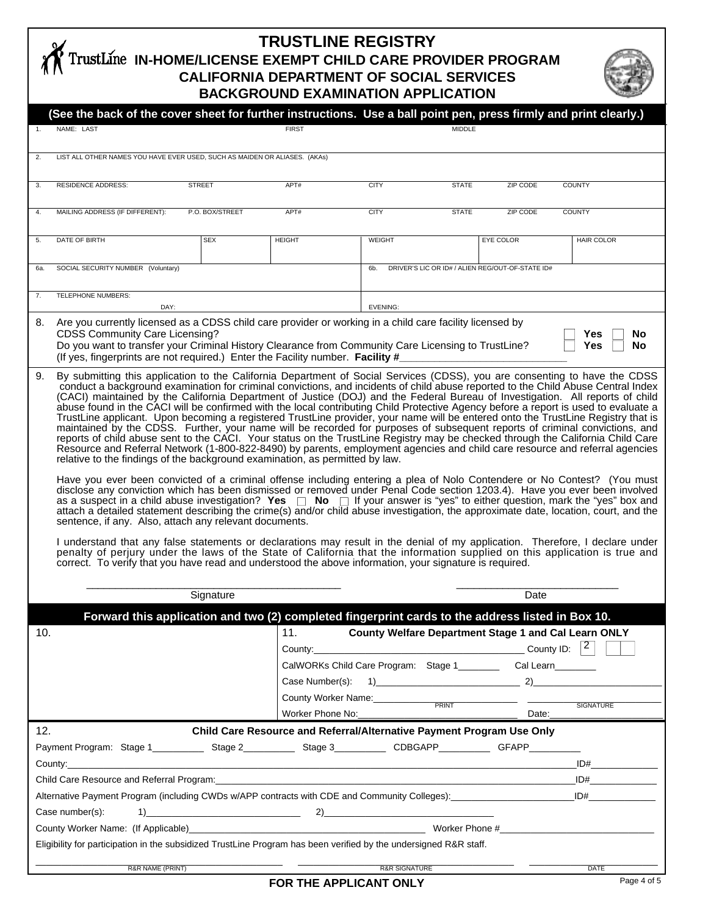## **TRUSTLINE REGISTRY IN-HOME/LICENSE EXEMPT CHILD CARE PROVIDER PROGRAM CALIFORNIA DEPARTMENT OF SOCIAL SERVICES BACKGROUND EXAMINATION APPLICATION**



|                                                                                                                                                                                                                                      | (See the back of the cover sheet for further instructions. Use a ball point pen, press firmly and print clearly.)                                                                                                                                                                                                                                                                                                                                                                                                                                                                                                                                                                                                                                                                                                                                                                                                                                                                                                                                                                                                                                                                                                                                                                                                                                                                                                                                                                                                                                                                                                                                                                                                                                                                                                                                                                                                                                                                                                                                                                                                                           |                 |                     |                                                                     |           |                   |  |  |
|--------------------------------------------------------------------------------------------------------------------------------------------------------------------------------------------------------------------------------------|---------------------------------------------------------------------------------------------------------------------------------------------------------------------------------------------------------------------------------------------------------------------------------------------------------------------------------------------------------------------------------------------------------------------------------------------------------------------------------------------------------------------------------------------------------------------------------------------------------------------------------------------------------------------------------------------------------------------------------------------------------------------------------------------------------------------------------------------------------------------------------------------------------------------------------------------------------------------------------------------------------------------------------------------------------------------------------------------------------------------------------------------------------------------------------------------------------------------------------------------------------------------------------------------------------------------------------------------------------------------------------------------------------------------------------------------------------------------------------------------------------------------------------------------------------------------------------------------------------------------------------------------------------------------------------------------------------------------------------------------------------------------------------------------------------------------------------------------------------------------------------------------------------------------------------------------------------------------------------------------------------------------------------------------------------------------------------------------------------------------------------------------|-----------------|---------------------|---------------------------------------------------------------------|-----------|-------------------|--|--|
| 1.                                                                                                                                                                                                                                   | NAME: LAST                                                                                                                                                                                                                                                                                                                                                                                                                                                                                                                                                                                                                                                                                                                                                                                                                                                                                                                                                                                                                                                                                                                                                                                                                                                                                                                                                                                                                                                                                                                                                                                                                                                                                                                                                                                                                                                                                                                                                                                                                                                                                                                                  |                 | <b>FIRST</b>        | <b>MIDDLE</b>                                                       |           |                   |  |  |
| 2.                                                                                                                                                                                                                                   |                                                                                                                                                                                                                                                                                                                                                                                                                                                                                                                                                                                                                                                                                                                                                                                                                                                                                                                                                                                                                                                                                                                                                                                                                                                                                                                                                                                                                                                                                                                                                                                                                                                                                                                                                                                                                                                                                                                                                                                                                                                                                                                                             |                 |                     |                                                                     |           |                   |  |  |
|                                                                                                                                                                                                                                      | LIST ALL OTHER NAMES YOU HAVE EVER USED, SUCH AS MAIDEN OR ALIASES. (AKAs)                                                                                                                                                                                                                                                                                                                                                                                                                                                                                                                                                                                                                                                                                                                                                                                                                                                                                                                                                                                                                                                                                                                                                                                                                                                                                                                                                                                                                                                                                                                                                                                                                                                                                                                                                                                                                                                                                                                                                                                                                                                                  |                 |                     |                                                                     |           |                   |  |  |
| 3.                                                                                                                                                                                                                                   | <b>RESIDENCE ADDRESS:</b>                                                                                                                                                                                                                                                                                                                                                                                                                                                                                                                                                                                                                                                                                                                                                                                                                                                                                                                                                                                                                                                                                                                                                                                                                                                                                                                                                                                                                                                                                                                                                                                                                                                                                                                                                                                                                                                                                                                                                                                                                                                                                                                   | <b>STREET</b>   | APT#                | <b>CITY</b><br><b>STATE</b>                                         | ZIP CODE  | <b>COUNTY</b>     |  |  |
|                                                                                                                                                                                                                                      |                                                                                                                                                                                                                                                                                                                                                                                                                                                                                                                                                                                                                                                                                                                                                                                                                                                                                                                                                                                                                                                                                                                                                                                                                                                                                                                                                                                                                                                                                                                                                                                                                                                                                                                                                                                                                                                                                                                                                                                                                                                                                                                                             |                 |                     |                                                                     |           |                   |  |  |
| 4.                                                                                                                                                                                                                                   | MAILING ADDRESS (IF DIFFERENT):                                                                                                                                                                                                                                                                                                                                                                                                                                                                                                                                                                                                                                                                                                                                                                                                                                                                                                                                                                                                                                                                                                                                                                                                                                                                                                                                                                                                                                                                                                                                                                                                                                                                                                                                                                                                                                                                                                                                                                                                                                                                                                             | P.O. BOX/STREET | APT#                | <b>CITY</b><br><b>STATE</b>                                         | ZIP CODE  | <b>COUNTY</b>     |  |  |
| 5.                                                                                                                                                                                                                                   | DATE OF BIRTH                                                                                                                                                                                                                                                                                                                                                                                                                                                                                                                                                                                                                                                                                                                                                                                                                                                                                                                                                                                                                                                                                                                                                                                                                                                                                                                                                                                                                                                                                                                                                                                                                                                                                                                                                                                                                                                                                                                                                                                                                                                                                                                               | <b>SEX</b>      | <b>HEIGHT</b>       | WEIGHT                                                              | EYE COLOR | <b>HAIR COLOR</b> |  |  |
|                                                                                                                                                                                                                                      |                                                                                                                                                                                                                                                                                                                                                                                                                                                                                                                                                                                                                                                                                                                                                                                                                                                                                                                                                                                                                                                                                                                                                                                                                                                                                                                                                                                                                                                                                                                                                                                                                                                                                                                                                                                                                                                                                                                                                                                                                                                                                                                                             |                 |                     |                                                                     |           |                   |  |  |
| 6а.                                                                                                                                                                                                                                  | SOCIAL SECURITY NUMBER (Voluntary)                                                                                                                                                                                                                                                                                                                                                                                                                                                                                                                                                                                                                                                                                                                                                                                                                                                                                                                                                                                                                                                                                                                                                                                                                                                                                                                                                                                                                                                                                                                                                                                                                                                                                                                                                                                                                                                                                                                                                                                                                                                                                                          |                 |                     | DRIVER'S LIC OR ID# / ALIEN REG/OUT-OF-STATE ID#<br>6b.             |           |                   |  |  |
| 7.                                                                                                                                                                                                                                   | TELEPHONE NUMBERS:                                                                                                                                                                                                                                                                                                                                                                                                                                                                                                                                                                                                                                                                                                                                                                                                                                                                                                                                                                                                                                                                                                                                                                                                                                                                                                                                                                                                                                                                                                                                                                                                                                                                                                                                                                                                                                                                                                                                                                                                                                                                                                                          |                 |                     |                                                                     |           |                   |  |  |
|                                                                                                                                                                                                                                      | DAY:                                                                                                                                                                                                                                                                                                                                                                                                                                                                                                                                                                                                                                                                                                                                                                                                                                                                                                                                                                                                                                                                                                                                                                                                                                                                                                                                                                                                                                                                                                                                                                                                                                                                                                                                                                                                                                                                                                                                                                                                                                                                                                                                        |                 |                     | EVENING:                                                            |           |                   |  |  |
| 8.                                                                                                                                                                                                                                   | Are you currently licensed as a CDSS child care provider or working in a child care facility licensed by<br><b>CDSS Community Care Licensing?</b><br>Yes<br>No<br>Do you want to transfer your Criminal History Clearance from Community Care Licensing to TrustLine?<br>No<br>Yes<br>(If yes, fingerprints are not required.) Enter the Facility number. Facility #                                                                                                                                                                                                                                                                                                                                                                                                                                                                                                                                                                                                                                                                                                                                                                                                                                                                                                                                                                                                                                                                                                                                                                                                                                                                                                                                                                                                                                                                                                                                                                                                                                                                                                                                                                        |                 |                     |                                                                     |           |                   |  |  |
| 9.                                                                                                                                                                                                                                   | By submitting this application to the California Department of Social Services (CDSS), you are consenting to have the CDSS<br>conduct a background examination for criminal convictions, and incidents of child abuse reported to the Child Abuse Central Index<br>(CACI) maintained by the California Department of Justice (DOJ) and the Federal Bureau of Investigation. All reports of child<br>abuse found in the CACI will be confirmed with the local contributing Child Protective Agency before a report is used to evaluate a<br>TrustLine applicant. Upon becoming a registered TrustLine provider, your name will be entered onto the TrustLine Registry that is<br>maintained by the CDSS. Further, your name will be recorded for purposes of subsequent reports of criminal convictions, and<br>reports of child abuse sent to the CACI. Your status on the TrustLine Registry may be checked through the California Child Care<br>Resource and Referral Network (1-800-822-8490) by parents, employment agencies and child care resource and referral agencies<br>relative to the findings of the background examination, as permitted by law.<br>Have you ever been convicted of a criminal offense including entering a plea of Nolo Contendere or No Contest? (You must<br>disclose any conviction which has been dismissed or removed under Penal Code section 1203.4). Have you ever been involved<br>as a suspect in a child abuse investigation? Yes $\Box$ No $\Box$ If your answer is "yes" to either question, mark the "yes" box and<br>attach a detailed statement describing the crime(s) and/or child abuse investigation, the approximate date, location, court, and the<br>sentence, if any. Also, attach any relevant documents.<br>I understand that any false statements or declarations may result in the denial of my application. Therefore, I declare under<br>penalty of perjury under the laws of the State of California that the information supplied on this application is true and<br>correct. To verify that you have read and understood the above information, your signature is required. |                 |                     |                                                                     |           |                   |  |  |
|                                                                                                                                                                                                                                      |                                                                                                                                                                                                                                                                                                                                                                                                                                                                                                                                                                                                                                                                                                                                                                                                                                                                                                                                                                                                                                                                                                                                                                                                                                                                                                                                                                                                                                                                                                                                                                                                                                                                                                                                                                                                                                                                                                                                                                                                                                                                                                                                             |                 |                     |                                                                     |           |                   |  |  |
|                                                                                                                                                                                                                                      |                                                                                                                                                                                                                                                                                                                                                                                                                                                                                                                                                                                                                                                                                                                                                                                                                                                                                                                                                                                                                                                                                                                                                                                                                                                                                                                                                                                                                                                                                                                                                                                                                                                                                                                                                                                                                                                                                                                                                                                                                                                                                                                                             | Signature       |                     | Date                                                                |           |                   |  |  |
|                                                                                                                                                                                                                                      | <u>Forward this application and two (2) completed fingerprint cards to the address listed in Box 10.</u>                                                                                                                                                                                                                                                                                                                                                                                                                                                                                                                                                                                                                                                                                                                                                                                                                                                                                                                                                                                                                                                                                                                                                                                                                                                                                                                                                                                                                                                                                                                                                                                                                                                                                                                                                                                                                                                                                                                                                                                                                                    |                 |                     |                                                                     |           |                   |  |  |
| 10.                                                                                                                                                                                                                                  |                                                                                                                                                                                                                                                                                                                                                                                                                                                                                                                                                                                                                                                                                                                                                                                                                                                                                                                                                                                                                                                                                                                                                                                                                                                                                                                                                                                                                                                                                                                                                                                                                                                                                                                                                                                                                                                                                                                                                                                                                                                                                                                                             |                 | 11.                 | County Welfare Department Stage 1 and Cal Learn ONLY                |           |                   |  |  |
|                                                                                                                                                                                                                                      |                                                                                                                                                                                                                                                                                                                                                                                                                                                                                                                                                                                                                                                                                                                                                                                                                                                                                                                                                                                                                                                                                                                                                                                                                                                                                                                                                                                                                                                                                                                                                                                                                                                                                                                                                                                                                                                                                                                                                                                                                                                                                                                                             |                 |                     |                                                                     |           |                   |  |  |
|                                                                                                                                                                                                                                      |                                                                                                                                                                                                                                                                                                                                                                                                                                                                                                                                                                                                                                                                                                                                                                                                                                                                                                                                                                                                                                                                                                                                                                                                                                                                                                                                                                                                                                                                                                                                                                                                                                                                                                                                                                                                                                                                                                                                                                                                                                                                                                                                             |                 |                     | CalWORKs Child Care Program: Stage 1____________ Cal Learn_________ |           |                   |  |  |
|                                                                                                                                                                                                                                      |                                                                                                                                                                                                                                                                                                                                                                                                                                                                                                                                                                                                                                                                                                                                                                                                                                                                                                                                                                                                                                                                                                                                                                                                                                                                                                                                                                                                                                                                                                                                                                                                                                                                                                                                                                                                                                                                                                                                                                                                                                                                                                                                             |                 |                     |                                                                     |           |                   |  |  |
|                                                                                                                                                                                                                                      |                                                                                                                                                                                                                                                                                                                                                                                                                                                                                                                                                                                                                                                                                                                                                                                                                                                                                                                                                                                                                                                                                                                                                                                                                                                                                                                                                                                                                                                                                                                                                                                                                                                                                                                                                                                                                                                                                                                                                                                                                                                                                                                                             |                 | County Worker Name: | $P$ RINT                                                            |           | <b>SIGNATURE</b>  |  |  |
|                                                                                                                                                                                                                                      |                                                                                                                                                                                                                                                                                                                                                                                                                                                                                                                                                                                                                                                                                                                                                                                                                                                                                                                                                                                                                                                                                                                                                                                                                                                                                                                                                                                                                                                                                                                                                                                                                                                                                                                                                                                                                                                                                                                                                                                                                                                                                                                                             |                 | Worker Phone No:    |                                                                     | Date:     |                   |  |  |
| 12.<br>Child Care Resource and Referral/Alternative Payment Program Use Only                                                                                                                                                         |                                                                                                                                                                                                                                                                                                                                                                                                                                                                                                                                                                                                                                                                                                                                                                                                                                                                                                                                                                                                                                                                                                                                                                                                                                                                                                                                                                                                                                                                                                                                                                                                                                                                                                                                                                                                                                                                                                                                                                                                                                                                                                                                             |                 |                     |                                                                     |           |                   |  |  |
| Payment Program: Stage 1 ____________ Stage 2 ____________ Stage 3 ___________ CDBGAPP___________ GFAPP________                                                                                                                      |                                                                                                                                                                                                                                                                                                                                                                                                                                                                                                                                                                                                                                                                                                                                                                                                                                                                                                                                                                                                                                                                                                                                                                                                                                                                                                                                                                                                                                                                                                                                                                                                                                                                                                                                                                                                                                                                                                                                                                                                                                                                                                                                             |                 |                     |                                                                     |           |                   |  |  |
| ID#<br>County: the country of the country of the country of the country of the country of the country of the country of the country of the country of the country of the country of the country of the country of the country of the |                                                                                                                                                                                                                                                                                                                                                                                                                                                                                                                                                                                                                                                                                                                                                                                                                                                                                                                                                                                                                                                                                                                                                                                                                                                                                                                                                                                                                                                                                                                                                                                                                                                                                                                                                                                                                                                                                                                                                                                                                                                                                                                                             |                 |                     |                                                                     |           |                   |  |  |
| Child Care Resource and Referral Program: National Contract Contract Contract Contract Contract Contract Contract Contract Contract Contract Contract Contract Contract Contract Contract Contract Contract Contract Contract        |                                                                                                                                                                                                                                                                                                                                                                                                                                                                                                                                                                                                                                                                                                                                                                                                                                                                                                                                                                                                                                                                                                                                                                                                                                                                                                                                                                                                                                                                                                                                                                                                                                                                                                                                                                                                                                                                                                                                                                                                                                                                                                                                             |                 |                     |                                                                     |           | ID#               |  |  |
| Alternative Payment Program (including CWDs w/APP contracts with CDE and Community Colleges): ________________                                                                                                                       |                                                                                                                                                                                                                                                                                                                                                                                                                                                                                                                                                                                                                                                                                                                                                                                                                                                                                                                                                                                                                                                                                                                                                                                                                                                                                                                                                                                                                                                                                                                                                                                                                                                                                                                                                                                                                                                                                                                                                                                                                                                                                                                                             |                 |                     |                                                                     |           |                   |  |  |
| Case number(s):<br>$\sim$ 2) 2) and 2) and 2) and 2) and 2) and 2) and 2) and 2) and 2                                                                                                                                               |                                                                                                                                                                                                                                                                                                                                                                                                                                                                                                                                                                                                                                                                                                                                                                                                                                                                                                                                                                                                                                                                                                                                                                                                                                                                                                                                                                                                                                                                                                                                                                                                                                                                                                                                                                                                                                                                                                                                                                                                                                                                                                                                             |                 |                     |                                                                     |           |                   |  |  |
|                                                                                                                                                                                                                                      |                                                                                                                                                                                                                                                                                                                                                                                                                                                                                                                                                                                                                                                                                                                                                                                                                                                                                                                                                                                                                                                                                                                                                                                                                                                                                                                                                                                                                                                                                                                                                                                                                                                                                                                                                                                                                                                                                                                                                                                                                                                                                                                                             |                 |                     |                                                                     |           |                   |  |  |
| Eligibility for participation in the subsidized TrustLine Program has been verified by the undersigned R&R staff.                                                                                                                    |                                                                                                                                                                                                                                                                                                                                                                                                                                                                                                                                                                                                                                                                                                                                                                                                                                                                                                                                                                                                                                                                                                                                                                                                                                                                                                                                                                                                                                                                                                                                                                                                                                                                                                                                                                                                                                                                                                                                                                                                                                                                                                                                             |                 |                     |                                                                     |           |                   |  |  |
|                                                                                                                                                                                                                                      | <b>R&amp;R NAME (PRINT)</b>                                                                                                                                                                                                                                                                                                                                                                                                                                                                                                                                                                                                                                                                                                                                                                                                                                                                                                                                                                                                                                                                                                                                                                                                                                                                                                                                                                                                                                                                                                                                                                                                                                                                                                                                                                                                                                                                                                                                                                                                                                                                                                                 |                 |                     | <b>R&amp;R SIGNATURE</b>                                            |           | <b>DATE</b>       |  |  |